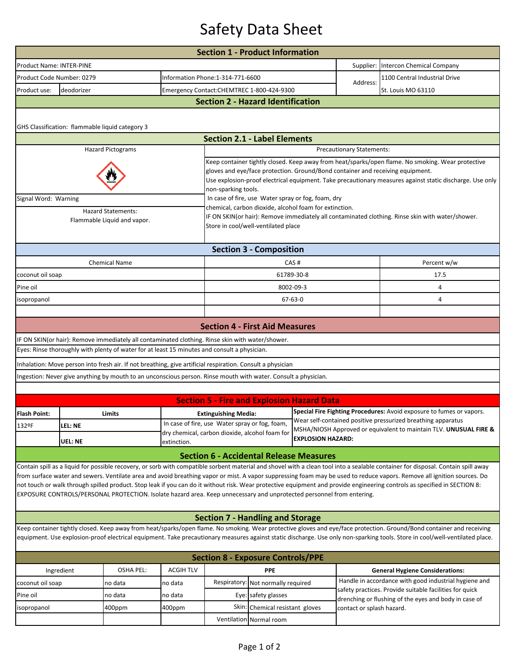## Safety Data Sheet

| <b>Section 1 - Product Information</b>                                                                                                                                                                                                                                                                                                                                                                                                                                                                                                                                                                                                                             |                                                                                                                |  |                  |                                                                                                                                                                                                                                                                                                                        |               |                           |                                                                                                                                      |                                                                                                                  |  |  |  |  |
|--------------------------------------------------------------------------------------------------------------------------------------------------------------------------------------------------------------------------------------------------------------------------------------------------------------------------------------------------------------------------------------------------------------------------------------------------------------------------------------------------------------------------------------------------------------------------------------------------------------------------------------------------------------------|----------------------------------------------------------------------------------------------------------------|--|------------------|------------------------------------------------------------------------------------------------------------------------------------------------------------------------------------------------------------------------------------------------------------------------------------------------------------------------|---------------|---------------------------|--------------------------------------------------------------------------------------------------------------------------------------|------------------------------------------------------------------------------------------------------------------|--|--|--|--|
| Product Name: INTER-PINE                                                                                                                                                                                                                                                                                                                                                                                                                                                                                                                                                                                                                                           |                                                                                                                |  |                  |                                                                                                                                                                                                                                                                                                                        |               |                           | Supplier:                                                                                                                            | Intercon Chemical Company                                                                                        |  |  |  |  |
| Product Code Number: 0279                                                                                                                                                                                                                                                                                                                                                                                                                                                                                                                                                                                                                                          |                                                                                                                |  |                  | Information Phone: 1-314-771-6600                                                                                                                                                                                                                                                                                      |               |                           | Address:                                                                                                                             | 1100 Central Industrial Drive                                                                                    |  |  |  |  |
| deodorizer<br>Product use:                                                                                                                                                                                                                                                                                                                                                                                                                                                                                                                                                                                                                                         |                                                                                                                |  |                  | Emergency Contact:CHEMTREC 1-800-424-9300                                                                                                                                                                                                                                                                              |               |                           |                                                                                                                                      | St. Louis MO 63110                                                                                               |  |  |  |  |
| <b>Section 2 - Hazard Identification</b>                                                                                                                                                                                                                                                                                                                                                                                                                                                                                                                                                                                                                           |                                                                                                                |  |                  |                                                                                                                                                                                                                                                                                                                        |               |                           |                                                                                                                                      |                                                                                                                  |  |  |  |  |
| GHS Classification: flammable liquid category 3                                                                                                                                                                                                                                                                                                                                                                                                                                                                                                                                                                                                                    |                                                                                                                |  |                  |                                                                                                                                                                                                                                                                                                                        |               |                           |                                                                                                                                      |                                                                                                                  |  |  |  |  |
|                                                                                                                                                                                                                                                                                                                                                                                                                                                                                                                                                                                                                                                                    |                                                                                                                |  |                  | <b>Section 2.1 - Label Elements</b>                                                                                                                                                                                                                                                                                    |               |                           |                                                                                                                                      |                                                                                                                  |  |  |  |  |
| <b>Hazard Pictograms</b><br>Precautionary Statements:                                                                                                                                                                                                                                                                                                                                                                                                                                                                                                                                                                                                              |                                                                                                                |  |                  |                                                                                                                                                                                                                                                                                                                        |               |                           |                                                                                                                                      |                                                                                                                  |  |  |  |  |
|                                                                                                                                                                                                                                                                                                                                                                                                                                                                                                                                                                                                                                                                    |                                                                                                                |  |                  | Keep container tightly closed. Keep away from heat/sparks/open flame. No smoking. Wear protective<br>gloves and eye/face protection. Ground/Bond container and receiving equipment.<br>Use explosion-proof electrical equipment. Take precautionary measures against static discharge. Use only<br>non-sparking tools. |               |                           |                                                                                                                                      |                                                                                                                  |  |  |  |  |
| Signal Word: Warning                                                                                                                                                                                                                                                                                                                                                                                                                                                                                                                                                                                                                                               |                                                                                                                |  |                  | In case of fire, use Water spray or fog, foam, dry                                                                                                                                                                                                                                                                     |               |                           |                                                                                                                                      |                                                                                                                  |  |  |  |  |
| <b>Hazard Statements:</b><br>Flammable Liquid and vapor.                                                                                                                                                                                                                                                                                                                                                                                                                                                                                                                                                                                                           |                                                                                                                |  |                  | chemical, carbon dioxide, alcohol foam for extinction.<br>IF ON SKIN(or hair): Remove immediately all contaminated clothing. Rinse skin with water/shower.<br>Store in cool/well-ventilated place                                                                                                                      |               |                           |                                                                                                                                      |                                                                                                                  |  |  |  |  |
| <b>Section 3 - Composition</b>                                                                                                                                                                                                                                                                                                                                                                                                                                                                                                                                                                                                                                     |                                                                                                                |  |                  |                                                                                                                                                                                                                                                                                                                        |               |                           |                                                                                                                                      |                                                                                                                  |  |  |  |  |
|                                                                                                                                                                                                                                                                                                                                                                                                                                                                                                                                                                                                                                                                    | <b>Chemical Name</b>                                                                                           |  |                  |                                                                                                                                                                                                                                                                                                                        |               | CAS#                      |                                                                                                                                      | Percent w/w                                                                                                      |  |  |  |  |
| coconut oil soap                                                                                                                                                                                                                                                                                                                                                                                                                                                                                                                                                                                                                                                   |                                                                                                                |  |                  |                                                                                                                                                                                                                                                                                                                        |               | 61789-30-8                |                                                                                                                                      | 17.5                                                                                                             |  |  |  |  |
| Pine oil                                                                                                                                                                                                                                                                                                                                                                                                                                                                                                                                                                                                                                                           |                                                                                                                |  |                  |                                                                                                                                                                                                                                                                                                                        | 8002-09-3     |                           |                                                                                                                                      | 4                                                                                                                |  |  |  |  |
| isopropanol                                                                                                                                                                                                                                                                                                                                                                                                                                                                                                                                                                                                                                                        |                                                                                                                |  |                  |                                                                                                                                                                                                                                                                                                                        | $67 - 63 - 0$ |                           |                                                                                                                                      | 4                                                                                                                |  |  |  |  |
|                                                                                                                                                                                                                                                                                                                                                                                                                                                                                                                                                                                                                                                                    |                                                                                                                |  |                  |                                                                                                                                                                                                                                                                                                                        |               |                           |                                                                                                                                      |                                                                                                                  |  |  |  |  |
|                                                                                                                                                                                                                                                                                                                                                                                                                                                                                                                                                                                                                                                                    |                                                                                                                |  |                  | <b>Section 4 - First Aid Measures</b>                                                                                                                                                                                                                                                                                  |               |                           |                                                                                                                                      |                                                                                                                  |  |  |  |  |
|                                                                                                                                                                                                                                                                                                                                                                                                                                                                                                                                                                                                                                                                    | IF ON SKIN(or hair): Remove immediately all contaminated clothing. Rinse skin with water/shower.               |  |                  |                                                                                                                                                                                                                                                                                                                        |               |                           |                                                                                                                                      |                                                                                                                  |  |  |  |  |
|                                                                                                                                                                                                                                                                                                                                                                                                                                                                                                                                                                                                                                                                    | Eyes: Rinse thoroughly with plenty of water for at least 15 minutes and consult a physician.                   |  |                  |                                                                                                                                                                                                                                                                                                                        |               |                           |                                                                                                                                      |                                                                                                                  |  |  |  |  |
|                                                                                                                                                                                                                                                                                                                                                                                                                                                                                                                                                                                                                                                                    | Inhalation: Move person into fresh air. If not breathing, give artificial respiration. Consult a physician     |  |                  |                                                                                                                                                                                                                                                                                                                        |               |                           |                                                                                                                                      |                                                                                                                  |  |  |  |  |
|                                                                                                                                                                                                                                                                                                                                                                                                                                                                                                                                                                                                                                                                    | Ingestion: Never give anything by mouth to an unconscious person. Rinse mouth with water. Consult a physician. |  |                  |                                                                                                                                                                                                                                                                                                                        |               |                           |                                                                                                                                      |                                                                                                                  |  |  |  |  |
|                                                                                                                                                                                                                                                                                                                                                                                                                                                                                                                                                                                                                                                                    |                                                                                                                |  |                  |                                                                                                                                                                                                                                                                                                                        |               |                           |                                                                                                                                      |                                                                                                                  |  |  |  |  |
|                                                                                                                                                                                                                                                                                                                                                                                                                                                                                                                                                                                                                                                                    |                                                                                                                |  |                  | <b>Section 5 - Fire and Explosion Hazard Data</b>                                                                                                                                                                                                                                                                      |               |                           |                                                                                                                                      |                                                                                                                  |  |  |  |  |
| <b>Flash Point:</b>                                                                                                                                                                                                                                                                                                                                                                                                                                                                                                                                                                                                                                                | Limits                                                                                                         |  |                  | <b>Extinguishing Media:</b><br>In case of fire, use Water spray or fog, foam,                                                                                                                                                                                                                                          |               |                           | Special Fire Fighting Procedures: Avoid exposure to fumes or vapors.<br>Wear self-contained positive pressurized breathing apparatus |                                                                                                                  |  |  |  |  |
| 132ºF                                                                                                                                                                                                                                                                                                                                                                                                                                                                                                                                                                                                                                                              | lel: Ne                                                                                                        |  |                  | dry chemical, carbon dioxide, alcohol foam for                                                                                                                                                                                                                                                                         |               |                           | MSHA/NIOSH Approved or equivalent to maintain TLV. UNUSUAL FIRE &                                                                    |                                                                                                                  |  |  |  |  |
|                                                                                                                                                                                                                                                                                                                                                                                                                                                                                                                                                                                                                                                                    | UEL: NE                                                                                                        |  | extinction.      |                                                                                                                                                                                                                                                                                                                        |               | <b>EXPLOSION HAZARD:</b>  |                                                                                                                                      |                                                                                                                  |  |  |  |  |
|                                                                                                                                                                                                                                                                                                                                                                                                                                                                                                                                                                                                                                                                    |                                                                                                                |  |                  | <b>Section 6 - Accidental Release Measures</b>                                                                                                                                                                                                                                                                         |               |                           |                                                                                                                                      |                                                                                                                  |  |  |  |  |
| Contain spill as a liquid for possible recovery, or sorb with compatible sorbent material and shovel with a clean tool into a sealable container for disposal. Contain spill away<br>from surface water and sewers. Ventilate area and avoid breathing vapor or mist. A vapor suppressing foam may be used to reduce vapors. Remove all ignition sources. Do<br>not touch or walk through spilled product. Stop leak if you can do it without risk. Wear protective equipment and provide engineering controls as specified in SECTION 8:<br>EXPOSURE CONTROLS/PERSONAL PROTECTION. Isolate hazard area. Keep unnecessary and unprotected personnel from entering. |                                                                                                                |  |                  |                                                                                                                                                                                                                                                                                                                        |               |                           |                                                                                                                                      |                                                                                                                  |  |  |  |  |
|                                                                                                                                                                                                                                                                                                                                                                                                                                                                                                                                                                                                                                                                    | <b>Section 7 - Handling and Storage</b>                                                                        |  |                  |                                                                                                                                                                                                                                                                                                                        |               |                           |                                                                                                                                      |                                                                                                                  |  |  |  |  |
| Keep container tightly closed. Keep away from heat/sparks/open flame. No smoking. Wear protective gloves and eye/face protection. Ground/Bond container and receiving<br>equipment. Use explosion-proof electrical equipment. Take precautionary measures against static discharge. Use only non-sparking tools. Store in cool/well-ventilated place.                                                                                                                                                                                                                                                                                                              |                                                                                                                |  |                  |                                                                                                                                                                                                                                                                                                                        |               |                           |                                                                                                                                      |                                                                                                                  |  |  |  |  |
| <b>Section 8 - Exposure Controls/PPE</b>                                                                                                                                                                                                                                                                                                                                                                                                                                                                                                                                                                                                                           |                                                                                                                |  |                  |                                                                                                                                                                                                                                                                                                                        |               |                           |                                                                                                                                      |                                                                                                                  |  |  |  |  |
| <b>OSHA PEL:</b><br>Ingredient                                                                                                                                                                                                                                                                                                                                                                                                                                                                                                                                                                                                                                     |                                                                                                                |  | <b>ACGIH TLV</b> | <b>PPE</b>                                                                                                                                                                                                                                                                                                             |               |                           |                                                                                                                                      | <b>General Hygiene Considerations:</b>                                                                           |  |  |  |  |
| coconut oil soap                                                                                                                                                                                                                                                                                                                                                                                                                                                                                                                                                                                                                                                   | no data                                                                                                        |  | no data          | Respiratory:<br>Not normally required                                                                                                                                                                                                                                                                                  |               |                           |                                                                                                                                      | Handle in accordance with good industrial hygiene and                                                            |  |  |  |  |
| Pine oil                                                                                                                                                                                                                                                                                                                                                                                                                                                                                                                                                                                                                                                           | no data                                                                                                        |  | no data          | Eye: safety glasses                                                                                                                                                                                                                                                                                                    |               | contact or splash hazard. |                                                                                                                                      | safety practices. Provide suitable facilities for quick<br>drenching or flushing of the eyes and body in case of |  |  |  |  |
| isopropanol                                                                                                                                                                                                                                                                                                                                                                                                                                                                                                                                                                                                                                                        | 400ppm                                                                                                         |  | 400ppm           | Skin: Chemical resistant gloves                                                                                                                                                                                                                                                                                        |               |                           |                                                                                                                                      |                                                                                                                  |  |  |  |  |
| Ventilation Normal room                                                                                                                                                                                                                                                                                                                                                                                                                                                                                                                                                                                                                                            |                                                                                                                |  |                  |                                                                                                                                                                                                                                                                                                                        |               |                           |                                                                                                                                      |                                                                                                                  |  |  |  |  |